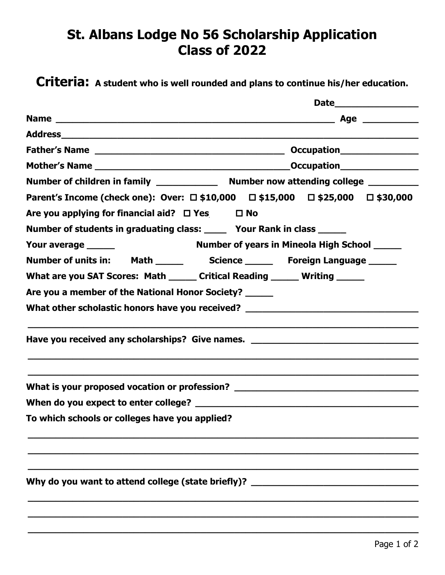## **St. Albans Lodge No 56 Scholarship Application Class of 2022**

**Criteria: A student who is well rounded and plans to continue his/her education.**

|                                                                            | Parent's Income (check one): Over: □ \$10,000 □ \$15,000 □ \$25,000 □ \$30,000   |  |
|----------------------------------------------------------------------------|----------------------------------------------------------------------------------|--|
| Are you applying for financial aid? $\Box$ Yes $\Box$ No                   |                                                                                  |  |
| Number of students in graduating class: ______ Your Rank in class ______   |                                                                                  |  |
|                                                                            |                                                                                  |  |
|                                                                            |                                                                                  |  |
| What are you SAT Scores: Math ______ Critical Reading ______ Writing _____ |                                                                                  |  |
| Are you a member of the National Honor Society? _____                      |                                                                                  |  |
|                                                                            | What other scholastic honors have you received? ________________________________ |  |
|                                                                            | Have you received any scholarships? Give names. ________________________________ |  |
|                                                                            | What is your proposed vocation or profession? __________________________________ |  |
|                                                                            |                                                                                  |  |
| To which schools or colleges have you applied?                             |                                                                                  |  |
|                                                                            |                                                                                  |  |
|                                                                            |                                                                                  |  |
| Why do you want to attend college (state briefly)? __                      |                                                                                  |  |
|                                                                            |                                                                                  |  |
|                                                                            |                                                                                  |  |

**\_\_\_\_\_\_\_\_\_\_\_\_\_\_\_\_\_\_\_\_\_\_\_\_\_\_\_\_\_\_\_\_\_\_\_\_\_\_\_\_\_\_\_\_\_\_\_\_\_\_\_\_\_\_\_\_\_\_\_\_\_\_\_\_\_\_\_\_\_\_**